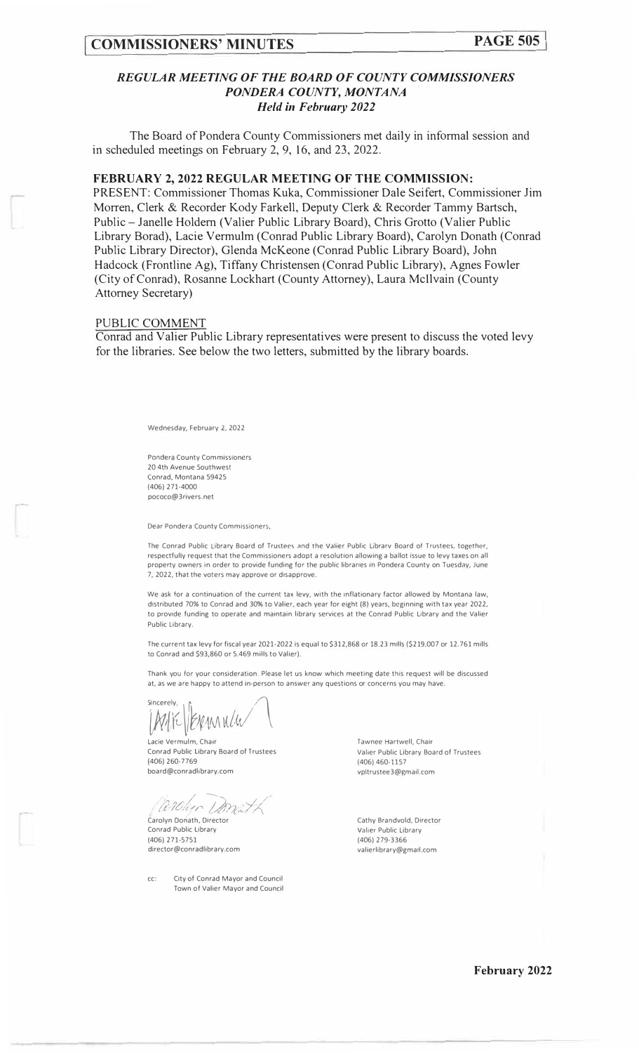## *REGULAR MEETING OF THE BOARD OF COUNTY COMMISSIONERS PONDERA COUNTY, MONTANA Held in February 2022*

The Board of Pondera County Commissioners met daily in informal session and in scheduled meetings on February 2, 9, 16, and 23, 2022.

#### **FEBRUARY 2, 2022 REGULAR MEETING OF THE COMMISSION:**

PRESENT: Commissioner Thomas Kuka, Commissioner Dale Seifert, Commissioner Jim Morren, Clerk & Recorder Kody Farkell, Deputy Clerk & Recorder Tammy Bartsch, Public -Janelle Holdem (Valier Public Library Board), Chris Grotto (Valier Public Library Borad), Lacie Vermulm (Conrad Public Library Board), Carolyn Donath (Conrad Public Library Director), Glenda McKeone (Conrad Public Library Board), John Hadcock (Frontline Ag), Tiffany Christensen (Conrad Public Library), Agnes Fowler (City of Conrad), Rosanne Lockhart (County Attorney), Laura Mcllvain (County Attorney Secretary)

#### PUBLIC COMMENT

Conrad and Valier Public Library representatives were present to discuss the voted levy for the libraries. See below the two letters, submitted by the library boards.

Wednesday, February 2, 2022

*Pondera* County Commissioners 20 4th Avenue Southwest Conrad, Montana 59425 (406) 271-4000 pococo@3rivers.net

*Dear* Pondera County Commissioners,

The Conrad Public Library Board of Trustees and the *Valier* Public Librarv Board of *Trustees,* together, respectfully request that the Commissioners adopt a resolution allowing a ballot issue to levy taxes on all property owners in order to provide funding for the public libraries in Pondera County on Tuesday, June 7, 2022, that the voters may approve or disapprove.

We ask for a continuation of the current tax levy, with the inflationary factor allowed by Montana law. distributed 70% to Conrad and 30% to Valier, each year for eight (8) years, beginning with tax year 2022, to provide funding to operate and maintain library services at the Conrad Public Library and the Valier Public Library.

The current tax levy for fiscal year 2021-2022 is equal to \$312,868 or 18.23 mills (\$219.007 or 12. 761 mills to Conrad and \$93,860 or 5.469 mills to Valier).

Thank you *for* your consideration. Please let us know which meeting date this request will be discussed at, as we are happy to attend in-person to answer any questions or concerns you may have.

sincerely,<br>|ME||EXEMANCH

Lacie Vermulm, Chair Conrad Public Library Board of Trustees (406) 260-7769 board@conradlibrary.com

/ - *)'7?/:I ;�\_, .J/ l t · /U;U* /' *('.,,/1., !{A--/./\* 

Carolyn Donath, Director Conrad Public Library (406) 271-5751 director@conradlibrary.com

cc: City of Conrad Mayor and Council Town of Valier Mayor and Council Tawnee Hartwell, Chair Valier Public Library Board of Trustees (406) 460-1157 vp1trustee3@gmail.com

Cathy Brandvold, Director *Valier* Public Library (406) 279-3366 valierlibrary@gma1l.com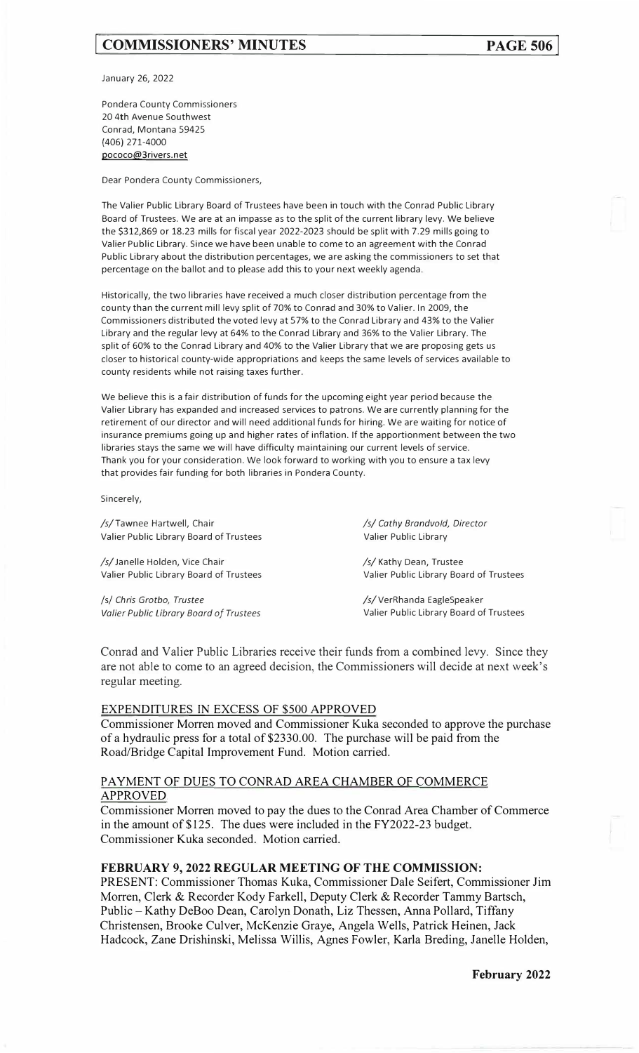# **[ COMMISSIONERS' MINUTES**

January 26, 2022

Pondera County Commissioners 20 4th Avenue Southwest Conrad, Montana 59425 (406) 271-4000 pococo@3rivers.net

Dear Pondera County Commissioners,

The Valier Public Library Board of Trustees have been in touch with the Conrad Public Library Board of Trustees. We are at an impasse as to the split of the current library levy. We believe the \$312,869 or 18.23 mills for fiscal year 2022-2023 should be split with 7.29 mills going to Valier Public Library. Since we have been unable to come to an agreement with the Conrad Public Library about the distribution percentages, we are asking the commissioners to set that percentage on the ballot and to please add this to your next weekly agenda.

Historically, the two libraries have received a much closer distribution percentage from the county than the current mill levy split of 70% to Conrad and 30% to Valier. In 2009, the Commissioners distributed the voted levy at 57% to the Conrad Library and 43% to the Valier Library and the regular levy at 64% to the Conrad Library and 36% to the Valier Library. The split of 60% to the Conrad Library and 40% to the Valier Library that we are proposing gets us closer to historical county-wide appropriations and keeps the same levels of services available to county residents while not raising taxes further.

We believe this is a fair distribution of funds for the upcoming eight year period because the Valier Library has expanded and increased services to patrons. We are currently planning for the retirement of our director and will need additional funds for hiring. We are waiting for notice of insurance premiums going up and higher rates of inflation. If the apportionment between the two libraries stays the same we will have difficulty maintaining our current levels of service. Thank you for your consideration. We look forward to working with you to ensure a tax levy that provides fair funding for both libraries in Pondera County.

Sincerely,

| /s/ Cathy Brandvold, Director<br>/s/Tawnee Hartwell, Chair<br>Valier Public Library Board of Trustees<br>Valier Public Library                 |                                         |
|------------------------------------------------------------------------------------------------------------------------------------------------|-----------------------------------------|
|                                                                                                                                                |                                         |
| /s/Janelle Holden, Vice Chair<br>/s/ Kathy Dean, Trustee<br>Valier Public Library Board of Trustees<br>Valier Public Library Board of Trustees |                                         |
|                                                                                                                                                |                                         |
| /s/VerRhanda EagleSpeaker<br>/s/ Chris Grotbo, Trustee                                                                                         |                                         |
| Valier Public Library Board of Trustees                                                                                                        | Valier Public Library Board of Trustees |

Conrad and Valier Public Libraries receive their funds from a combined levy. Since they are not able to come to an agreed decision, the Commissioners will decide at next week's regular meeting.

#### EXPENDITURES IN EXCESS OF \$500 APPROVED

Commissioner Morren moved and Commissioner Kuka seconded to approve the purchase of a hydraulic press for a total of \$2330.00. The purchase will be paid from the Road/Bridge Capital Improvement Fund. Motion carried.

## PAYMENT OF DUES TO CONRAD AREA CHAMBER OF COMMERCE APPROVED

Commissioner Morren moved to pay the dues to the Conrad Area Chamber of Commerce in the amount of\$125. The dues were included in the FY2022-23 budget. Commissioner Kuka seconded. Motion carried.

# **FEBRUARY 9, 2022 REGULAR MEETING OF THE COMMISSION:**

PRESENT: Commissioner Thomas Kuka, Commissioner Dale Seifert, Commissioner Jim Morren, Clerk & Recorder Kody Farkell, Deputy Clerk & Recorder Tammy Bartsch, Public- Kathy DeBoo Dean, Carolyn Donath, Liz Thessen, Anna Pollard, Tiffany Christensen, Brooke Culver, McKenzie Graye, Angela Wells, Patrick Heinen, Jack Hadcock, Zane Drishinski, Melissa Willis, Agnes Fowler, Karla Breding, Janelle Holden,

**February 2022**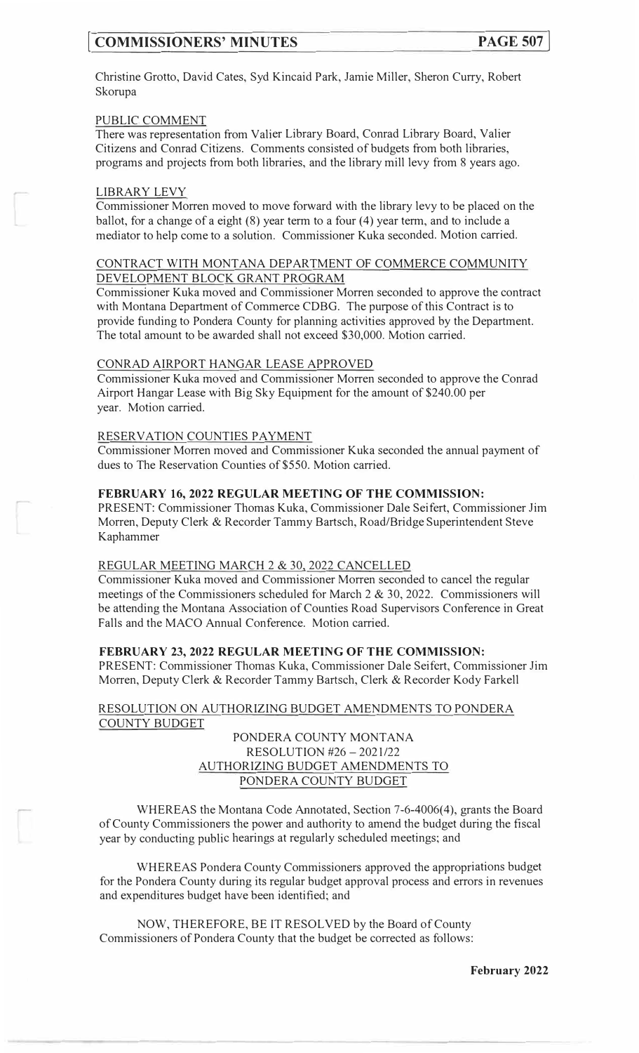# **COMMISSIONERS' MINUTES PAGE 507**

Christine Grotto, David Cates, Syd Kincaid Park, Jamie Miller, Sheron Curry, Robert Skorupa

#### PUBLIC COMMENT

There was representation from Valier Library Board, Conrad Library Board, Valier Citizens and Conrad Citizens. Comments consisted of budgets from both libraries, programs and projects from both libraries, and the library mill levy from 8 years ago.

#### LIBRARY LEVY

Commissioner Morren moved to move forward with the library levy to be placed on the ballot, for a change of a eight  $(8)$  year term to a four  $(4)$  year term, and to include a mediator to help come to a solution. Commissioner Kuka seconded. Motion carried.

## CONTRACT WITH MONTANA DEPARTMENT OF COMMERCE COMMUNITY DEVELOPMENT BLOCK GRANT PROGRAM

Commissioner Kuka moved and Commissioner Morren seconded to approve the contract with Montana Department of Commerce CDBG. The purpose of this Contract is to provide funding to Pondera County for planning activities approved by the Department. The total amount to be awarded shall not exceed \$30,000. Motion carried.

#### CONRAD AIRPORT HANGAR LEASE APPROVED

Commissioner Kuka moved and Commissioner Morren seconded to approve the Conrad Airport Hangar Lease with Big Sky Equipment for the amount of \$240.00 per year. Motion carried.

#### RESERVATION COUNTIES PAYMENT

Commissioner Morren moved and Commissioner Kuka seconded the annual payment of dues to The Reservation Counties of \$550. Motion carried.

#### **FEBRUARY 16, 2022 REGULAR MEETING OF THE COMMISSION:**

PRESENT: Commissioner Thomas Kuka, Commissioner Dale Seifert, Commissioner Jim Morren, Deputy Clerk & Recorder Tammy Bartsch, Road/Bridge Superintendent Steve Kaphammer

#### REGULAR MEETING MARCH 2 & 30, 2022 CANCELLED

Commissioner Kuka moved and Commissioner Morren seconded to cancel the regular meetings of the Commissioners scheduled for March 2 & 30, 2022. Commissioners will be attending the Montana Association of Counties Road Supervisors Conference in Great Falls and the MACO Annual Conference. Motion carried.

#### **FEBRUARY 23, 2022 REGULAR MEETING OF THE COMMISSION:**

PRESENT: Commissioner Thomas Kuka, Commissioner Dale Seifert, Commissioner Jim Morren, Deputy Clerk & Recorder Tammy Bartsch, Clerk & Recorder Kody Farkell

#### RESOLUTION ON AUTHORIZING BUDGET AMENDMENTS TO PONDERA COUNTY BUDGET

## PONDERA COUNTY MONTANA RESOLUTION #26-2021/22 AUTHORIZING BUDGET AMENDMENTS TO PONDERA COUNTY BUDGET

WHEREAS the Montana Code Annotated, Section 7-6-4006(4), grants the Board of County Commissioners the power and authority to amend the budget during the fiscal year by conducting public hearings at regularly scheduled meetings; and

WHEREAS Pondera County Commissioners approved the appropriations budget for the Pondera County during its regular budget approval process and errors in revenues and expenditures budget have been identified; and

NOW, THEREFORE, BE 1T RESOLVED by the Board of County Commissioners of Pondera County that the budget be corrected as follows: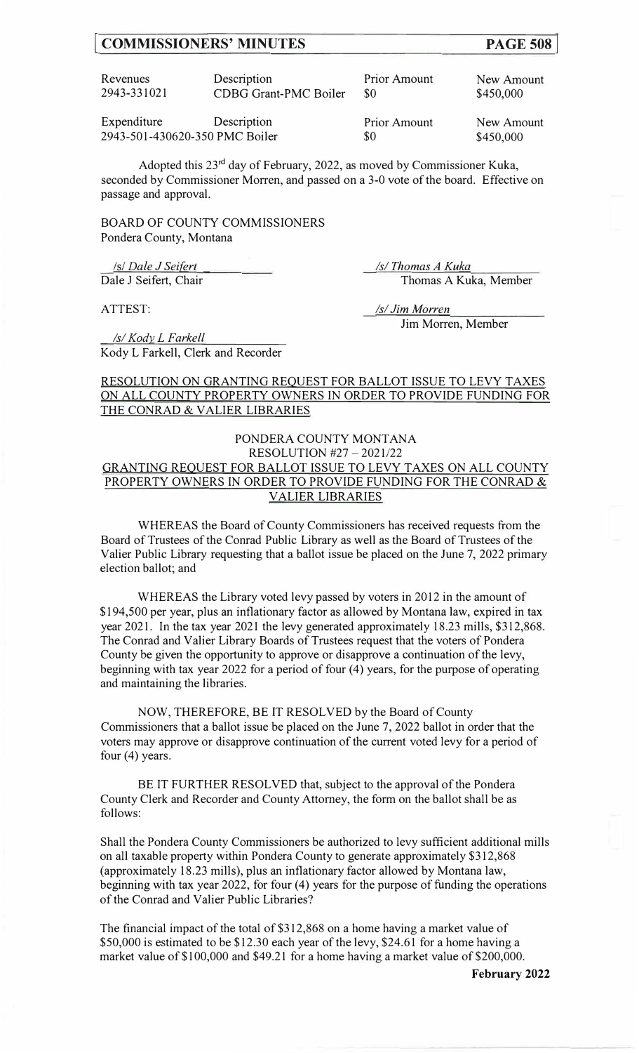## **[ COMMISSIONERS' MINUTES**

| Revenues    | Description                  | <b>Prior Amount</b> | New Amount |
|-------------|------------------------------|---------------------|------------|
| 2943-331021 | <b>CDBG Grant-PMC Boiler</b> |                     | \$450,000  |
|             |                              |                     |            |

Expenditure Description 2943-501-430620-350 PMC Boiler Prior Amount \$0

New Amount \$450,000

Adopted this  $23^{rd}$  day of February, 2022, as moved by Commissioner Kuka, seconded by Commissioner Morren, and passed on a 3-0 vote of the board. Effective on passage and approval.

BOARD OF COUNTY COMMISSIONERS Pondera County, Montana

*Isl Dale J Seifert Isl Dale J Seifert Isl Isl Thomas A Kuka* 

*Isl Kody\_ L Farkell* 

ATTEST: /s/*Jim Morren* 

Dale J Seifert, Chair Thomas A Kuka, Member

Jim Morren, Member

# Kody L Farkell, Clerk and Recorder

## RESOLUTION ON GRANTING REQUEST FOR BALLOT ISSUE TO LEVY TAXES ON ALL COUNTY PROPERTY OWNERS IN ORDER TO PROVIDE FUNDING FOR THE CONRAD & VALIER LIBRARIES

#### PONDERA COUNTY MONTANA RESOLUTION #27 - 2021/22

# GRANTING REQUEST FOR BALLOT ISSUE TO LEVY TAXES ON ALL COUNTY PROPERTY OWNERS IN ORDER TO PROVIDE FUNDING FOR THE CONRAD & VALIER LIBRARIES

WHEREAS the Board of County Commissioners has received requests from the Board of Trustees of the Conrad Public Library as well as the Board of Trustees of the Valier Public Library requesting that a ballot issue be placed on the June 7, 2022 primary election ballot; and

WHEREAS the Library voted levy passed by voters in 2012 in the amount of \$194,500 per year, plus an inflationary factor as allowed by Montana law, expired in tax year 2021. In the tax year 2021 the levy generated approximately 18.23 mills, \$312,868. The Conrad and Valier Library Boards of Trustees request that the voters of Pondera County be given the opportunity to approve or disapprove a continuation of the levy, beginning with tax year 2022 for a period of four (4) years, for the purpose of operating and maintaining the libraries.

NOW, THEREFORE, BE IT RESOLVED by the Board of County Commissioners that a ballot issue be placed on the June 7, 2022 ballot in order that the voters may approve or disapprove continuation of the current voted levy for a period of four (4) years.

BE IT FURTHER RESOLVED that, subject to the approval of the Pondera County Clerk and Recorder and County Attorney, the form on the ballot shall be as follows:

Shall the Pondera County Commissioners be authorized to levy sufficient additional mills on all taxable property within Pondera County to generate approximately \$312,868 (approximately 18.23 mills), plus an inflationary factor allowed by Montana law, beginning with tax year 2022, for four (4) years for the purpose of funding the operations of the Conrad and Valier Public Libraries?

The financial impact of the total of \$312,868 on a home having a market value of \$50,000 is estimated to be \$12.30 each year of the levy, \$24.61 for a home having a market value of \$100,000 and \$49.21 for a home having a market value of \$200,000.

**February 2022**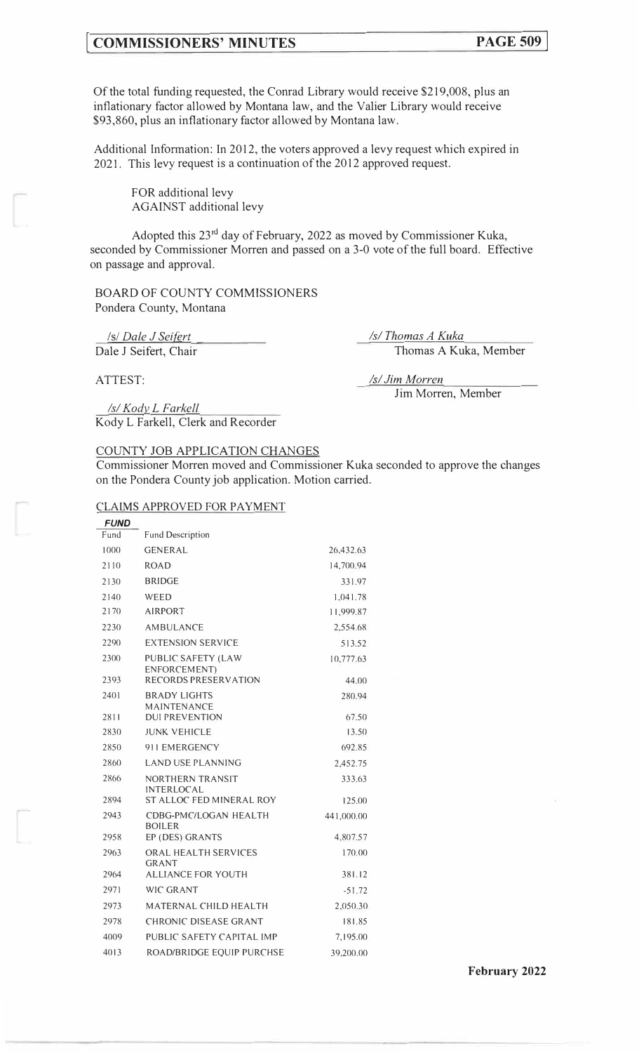# **COMMISSIONERS' MINUTES PAGE 509**

Of the total funding requested, the Conrad Library would receive \$219,008, plus an inflationary factor allowed by Montana law, and the Valier Library would receive \$93,860, plus an inflationary factor allowed by Montana law.

Additional Information: In 2012, the voters approved a levy request which expired in 2021. This levy request is a continuation of the 2012 approved request.

FOR additional levy AGAINST additional levy

Adopted this  $23<sup>rd</sup>$  day of February, 2022 as moved by Commissioner Kuka, seconded by Commissioner Morren and passed on a 3-0 vote of the full board. Effective on passage and approval.

BOARD OF COUNTY COMMISSIONERS Pondera County, Montana

*Isl Dale J Seifert*  Dale J Seifert, Chair *Isl Thomas A Kuka*  Thomas A Kuka, Member

ATTEST:

*Isl Jim Morren*  Jim Morren, Member

*Isl Kody\_ L Farkell*  Kody L Farkell, Clerk and Recorder

#### COUNTY JOB APPLICATION CHANGES

Commissioner Morren moved and Commissioner Kuka seconded to approve the changes on the Pondera County job application. Motion carried.

#### CLAIMS APPROVED FOR PAYMENT

| <b>FUND</b> |                                               |            |
|-------------|-----------------------------------------------|------------|
| Fund        | <b>Fund Description</b>                       |            |
| 1000        | <b>GENERAL</b>                                | 26,432.63  |
| 2110        | <b>ROAD</b>                                   | 14,700.94  |
| 2130        | <b>BRIDGE</b>                                 | 331.97     |
| 2140        | WEED                                          | 1,041.78   |
| 2170        | <b>AIRPORT</b>                                | 11,999.87  |
| 2230        | <b>AMBULANCE</b>                              | 2,554.68   |
| 2290        | <b>EXTENSION SERVICE</b>                      | 513.52     |
| 2300        | PUBLIC SAFETY (LAW<br>ENFORCEMENT)            | 10,777.63  |
| 2393        | <b>RECORDS PRESERVATION</b>                   | 44.00      |
| 2401        | <b>BRADY LIGHTS</b><br><b>MAINTENANCE</b>     | 280.94     |
| 2811        | <b>DUI PREVENTION</b>                         | 67.50      |
| 2830        | <b>JUNK VEHICLE</b>                           | 13.50      |
| 2850        | 911 EMERGENCY                                 | 692.85     |
| 2860        | <b>LAND USE PLANNING</b>                      | 2,452.75   |
| 2866        | NORTHERN TRANSIT<br><b>INTERLOCAL</b>         | 333.63     |
| 2894        | ST ALLOC FED MINERAL ROY                      | 125.00     |
| 2943        | <b>CDBG-PMC/LOGAN HEALTH</b><br><b>BOILER</b> | 441,000.00 |
| 2958        | EP (DES) GRANTS                               | 4,807.57   |
| 2963        | ORAL HEALTH SERVICES<br>GRANT                 | 170.00     |
| 2964        | <b>ALLIANCE FOR YOUTH</b>                     | 381.12     |
| 2971        | WIC GRANT                                     | $-51.72$   |
| 2973        | MATERNAL CHILD HEALTH                         | 2,050.30   |
| 2978        | CHRONIC DISEASE GRANT                         | 181.85     |
| 4009        | PUBLIC SAFETY CAPITAL IMP                     | 7,195,00   |
| 4013        | ROAD/BRIDGE EQUIP PURCHSE                     | 39,200.00  |

**February 2022**